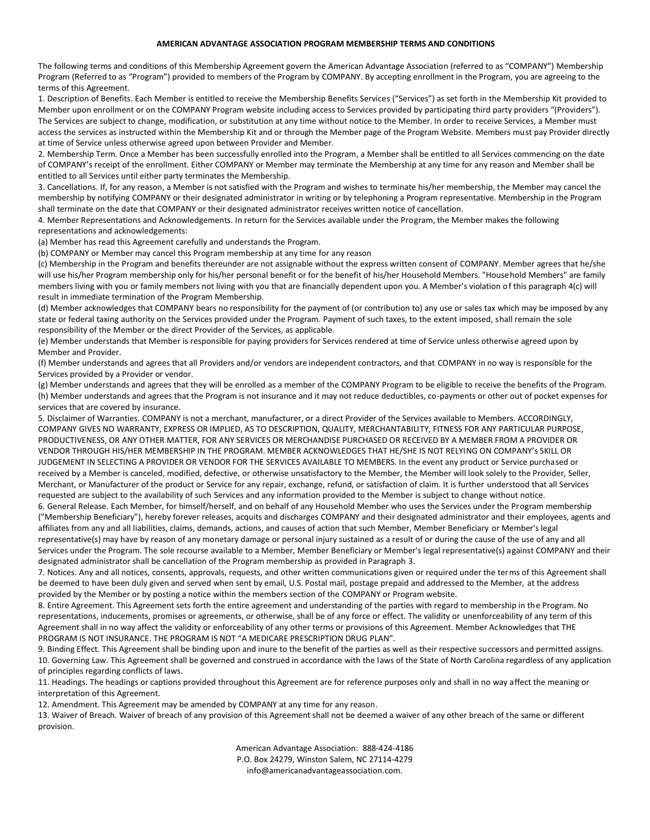## **AMERICAN ADVANTAGE ASSOCIATION PROGRAM MEMBERSHIP TERMS AND CONDITIONS**

The following terms and conditions of this Membership Agreement govern the American Advantage Association (referred to as "COMPANY") Membership Program (Referred to as "Program") provided to members of the Program by COMPANY. By accepting enrollment in the Program, you are agreeing to the terms of this Agreement.

1. Description of Benefits. Each Member is entitled to receive the Membership Benefits Services ("Services") as set forth in the Membership Kit provided to Member upon enrollment or on the COMPANY Program website including access to Services provided by participating third party providers "(Providers"). The Services are subject to change, modification, or substitution at any time without notice to the Member. In order to receive Services, a Member must access the services as instructed within the Membership Kit and or through the Member page of the Program Website. Members must pay Provider directly at time of Service unless otherwise agreed upon between Provider and Member.

2. Membership Term. Once a Member has been successfully enrolled into the Program, a Member shall be entitled to all Services commencing on the date of COMPANY's receipt of the enrollment. Either COMPANY or Member may terminate the Membership at any time for any reason and Member shall be entitled to all Services until either party terminates the Membership.

3. Cancellations. If, for any reason, a Member is not satisfied with the Program and wishes to terminate his/her membership, the Member may cancel the membership by notifying COMPANY or their designated administrator in writing or by telephoning a Program representative. Membership in the Program shall terminate on the date that COMPANY or their designated administrator receives written notice of cancellation.

4. Member Representations and Acknowledgements. In return for the Services available under the Program, the Member makes the following representations and acknowledgements:

(a) Member has read this Agreement carefully and understands the Program.

(b) COMPANY or Member may cancel this Program membership at any time for any reason

(c) Membership in the Program and benefits thereunder are not assignable without the express written consent of COMPANY. Member agrees that he/she will use his/her Program membership only for his/her personal benefit or for the benefit of his/her Household Members. "Household Members" are family members living with you or family members not living with you that are financially dependent upon you. A Member's violation of this paragraph 4(c) will result in immediate termination of the Program Membership.

(d) Member acknowledges that COMPANY bears no responsibility for the payment of (or contribution to) any use or sales tax which may be imposed by any state or federal taxing authority on the Services provided under the Program. Payment of such taxes, to the extent imposed, shall remain the sole responsibility of the Member or the direct Provider of the Services, as applicable.

(e) Member understands that Member is responsible for paying providers for Services rendered at time of Service unless otherwise agreed upon by Member and Provider.

(f) Member understands and agrees that all Providers and/or vendors are independent contractors, and that COMPANY in no way is responsible for the Services provided by a Provider or vendor.

(g) Member understands and agrees that they will be enrolled as a member of the COMPANY Program to be eligible to receive the benefits of the Program. (h) Member understands and agrees that the Program is not insurance and it may not reduce deductibles, co-payments or other out of pocket expenses for services that are covered by insurance.

5. Disclaimer of Warranties. COMPANY is not a merchant, manufacturer, or a direct Provider of the Services available to Members. ACCORDINGLY, COMPANY GIVES NO WARRANTY, EXPRESS OR IMPLIED, AS TO DESCRIPTION, QUALITY, MERCHANTABILITY, FITNESS FOR ANY PARTICULAR PURPOSE, PRODUCTIVENESS, OR ANY OTHER MATTER, FOR ANY SERVICES OR MERCHANDISE PURCHASED OR RECEIVED BY A MEMBER FROM A PROVIDER OR VENDOR THROUGH HIS/HER MEMBERSHIP IN THE PROGRAM. MEMBER ACKNOWLEDGES THAT HE/SHE IS NOT RELYING ON COMPANY's SKILL OR JUDGEMENT IN SELECTING A PROVIDER OR VENDOR FOR THE SERVICES AVAILABLE TO MEMBERS. In the event any product or Service purchased or received by a Member is canceled, modified, defective, or otherwise unsatisfactory to the Member, the Member will look solely to the Provider, Seller, Merchant, or Manufacturer of the product or Service for any repair, exchange, refund, or satisfaction of claim. It is further understood that all Services requested are subject to the availability of such Services and any information provided to the Member is subject to change without notice.

6. General Release. Each Member, for himself/herself, and on behalf of any Household Member who uses the Services under the Program membership ("Membership Beneficiary"), hereby forever releases, acquits and discharges COMPANY and their designated administrator and their employees, agents and affiliates from any and all liabilities, claims, demands, actions, and causes of action that such Member, Member Beneficiary or Member's legal representative(s) may have by reason of any monetary damage or personal injury sustained as a result of or during the cause of the use of any and all Services under the Program. The sole recourse available to a Member, Member Beneficiary or Member's legal representative(s) against COMPANY and their designated administrator shall be cancellation of the Program membership as provided in Paragraph 3.

7. Notices. Any and all notices, consents, approvals, requests, and other written communications given or required under the terms of this Agreement shall be deemed to have been duly given and served when sent by email, U.S. Postal mail, postage prepaid and addressed to the Member, at the address provided by the Member or by posting a notice within the members section of the COMPANY or Program website.

8. Entire Agreement. This Agreement sets forth the entire agreement and understanding of the parties with regard to membership in the Program. No representations, inducements, promises or agreements, or otherwise, shall be of any force or effect. The validity or unenforceability of any term of this Agreement shall in no way affect the validity or enforceability of any other terms or provisions of this Agreement. Member Acknowledges that THE PROGRAM IS NOT INSURANCE. THE PROGRAM IS NOT "A MEDICARE PRESCRIPTION DRUG PLAN".

9. Binding Effect. This Agreement shall be binding upon and inure to the benefit of the parties as well as their respective successors and permitted assigns. 10. Governing Law. This Agreement shall be governed and construed in accordance with the laws of the State of North Carolina regardless of any application of principles regarding conflicts of laws.

11. Headings. The headings or captions provided throughout this Agreement are for reference purposes only and shall in no way affect the meaning or interpretation of this Agreement.

12. Amendment. This Agreement may be amended by COMPANY at any time for any reason.

13. Waiver of Breach. Waiver of breach of any provision of this Agreement shall not be deemed a waiver of any other breach of the same or different provision.

> American Advantage Association: 888-424-4186 P.O. Box 24279, Winston Salem, NC 27114-4279 info@americanadvantageassociation.com.